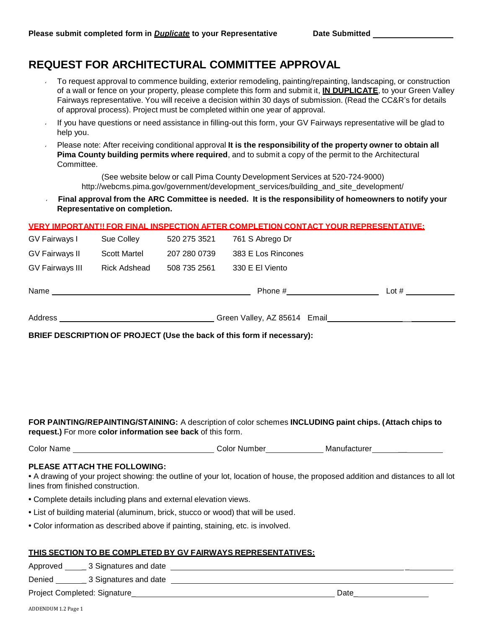# **REQUEST FOR ARCHITECTURAL COMMITTEE APPROVAL**

- To request approval to commence building, exterior remodeling, painting/repainting, landscaping, or construction of a wall or fence on your property, please complete this form and submit it, **IN DUPLICATE**, to your Green Valley Fairways representative. You will receive a decision within 30 days of submission. (Read the CC&R's for details of approval process). Project must be completed within one year of approval.
- If you have questions or need assistance in filling-out this form, your GV Fairways representative will be glad to  $\mathcal{L}$ help you.
- Please note: After receiving conditional approval **It is the responsibility of the property owner to obtain all Pima County building permits where required**, and to submit a copy of the permit to the Architectural **Committee.**

(See website below or call Pima County Development Services at 520-724-9000) [http://webcms.pima.gov/government/development\\_services/building\\_and\\_site\\_development/](http://webcms.pima.gov/government/development_services/building_and_site_development/)

 **Final approval from the ARC Committee is needed. It is the responsibility of homeowners to notify your Representative on completion.**

## **VERY IMPORTANT!! FOR FINAL INSPECTION AFTER COMPLETION CONTACT YOUR REPRESENTATIVE:**

| GV Fairways I          | Sue Colley          | 520 275 3521 | 761 S Abrego Dr    |         |
|------------------------|---------------------|--------------|--------------------|---------|
| GV Fairways II         | <b>Scott Martel</b> | 207 280 0739 | 383 E Los Rincones |         |
| <b>GV Fairways III</b> | Rick Adshead        | 508 735 2561 | 330 E El Viento    |         |
| Name                   |                     |              | Phone #            | Lot $#$ |
|                        |                     |              |                    |         |

Address **Address** Creen Valley, AZ 85614 Email **Address** Creen Valley, AZ 85614 Email

**BRIEF DESCRIPTION OF PROJECT (Use the back of this form if necessary):**

**FOR PAINTING/REPAINTING/STAINING:** A description of color schemes **INCLUDING paint chips. (Attach chips to request.)** For more **color information see back** of this form.

| <b>Color Name</b> | Number<br>ا olor∶ | Manufacturer |
|-------------------|-------------------|--------------|
|                   |                   |              |

#### **PLEASE ATTACH THE FOLLOWING:**

**•** A drawing of your project showing: the outline of your lot, location of house, the proposed addition and distances to all lot lines from finished construction.

- **•** Complete details including plans and external elevation views.
- **•** List of building material (aluminum, brick, stucco or wood) that will be used.
- **•** Color information as described above if painting, staining, etc. is involved.

#### **THIS SECTION TO BE COMPLETED BY GV FAIRWAYS REPRESENTATIVES:**

Approved \_ 3 Signatures and date \_

Denied \_ 3 Signatures and date

Project Completed: Signature\_ Date\_ Date\_ Date\_ Date\_ Date\_ Date\_ Date\_ Date\_ Date\_